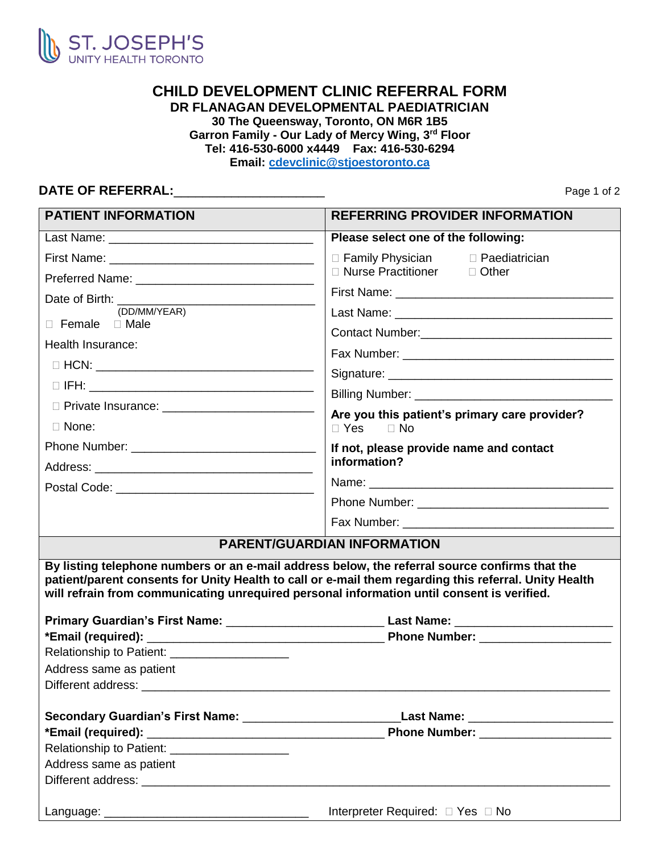

## **CHILD DEVELOPMENT CLINIC REFERRAL FORM DR FLANAGAN DEVELOPMENTAL PAEDIATRICIAN 30 The Queensway, Toronto, ON M6R 1B5 Garron Family - Our Lady of Mercy Wing, 3rd Floor Tel: 416-530-6000 x4449 Fax: 416-530-6294 Email: [cdevclinic@stjoestoronto.ca](mailto:cdevclinic@stjoestoronto.ca)**

## **DATE OF REFERRAL:\_\_\_\_\_\_\_\_\_\_\_\_\_\_\_\_\_\_\_\_\_\_\_\_\_\_** Page 1 of 2

| <b>PATIENT INFORMATION</b>                                               | <b>REFERRING PROVIDER INFORMATION</b>                                                                                                                                                               |
|--------------------------------------------------------------------------|-----------------------------------------------------------------------------------------------------------------------------------------------------------------------------------------------------|
|                                                                          | Please select one of the following:                                                                                                                                                                 |
|                                                                          | $\Box$ Family Physician<br>□ Paediatrician                                                                                                                                                          |
| Preferred Name: _________________________________                        | □ Nurse Practitioner<br>$\Box$ Other                                                                                                                                                                |
| Date of Birth: _________                                                 |                                                                                                                                                                                                     |
| (DD/MM/YEAR)                                                             |                                                                                                                                                                                                     |
| $\Box$ Female $\Box$ Male                                                | Contact Number: Contact Number:                                                                                                                                                                     |
| Health Insurance:                                                        |                                                                                                                                                                                                     |
|                                                                          |                                                                                                                                                                                                     |
|                                                                          |                                                                                                                                                                                                     |
| D Private Insurance: _____________________________                       |                                                                                                                                                                                                     |
| $\Box$ None:                                                             | Are you this patient's primary care provider?<br>$\Box$ Yes $\Box$ No                                                                                                                               |
|                                                                          | If not, please provide name and contact                                                                                                                                                             |
|                                                                          | information?                                                                                                                                                                                        |
|                                                                          |                                                                                                                                                                                                     |
|                                                                          |                                                                                                                                                                                                     |
|                                                                          |                                                                                                                                                                                                     |
|                                                                          | <b>PARENT/GUARDIAN INFORMATION</b>                                                                                                                                                                  |
|                                                                          | patient/parent consents for Unity Health to call or e-mail them regarding this referral. Unity Health<br>will refrain from communicating unrequired personal information until consent is verified. |
| Relationship to Patient: ____________________<br>Address same as patient |                                                                                                                                                                                                     |
|                                                                          |                                                                                                                                                                                                     |
|                                                                          |                                                                                                                                                                                                     |
|                                                                          |                                                                                                                                                                                                     |
| Relationship to Patient: _____________________                           | Last Name: _______________________<br>Phone Number: _______________________                                                                                                                         |
| Address same as patient                                                  |                                                                                                                                                                                                     |

Language: \_\_\_\_\_\_\_\_\_\_\_\_\_\_\_\_\_\_\_\_\_\_\_\_\_\_\_\_\_\_\_ Interpreter Required: Yes No